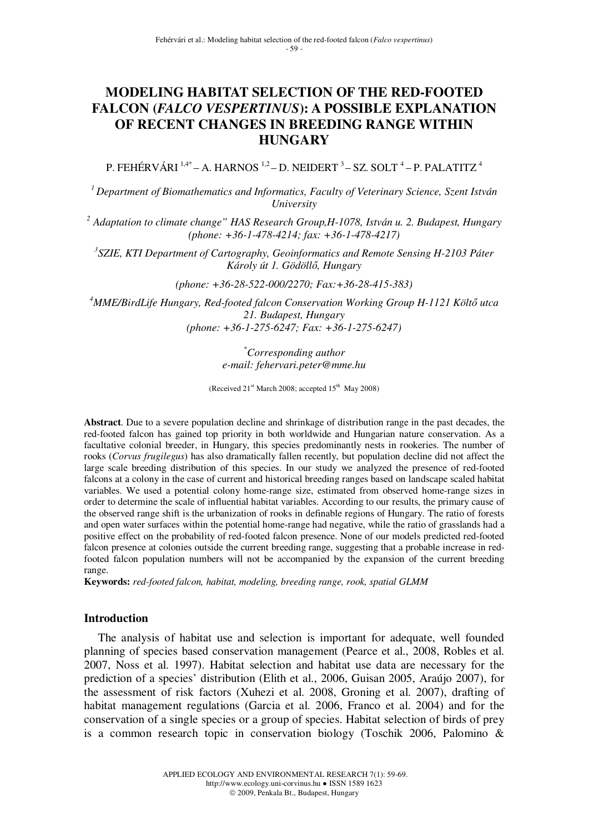# **MODELING HABITAT SELECTION OF THE RED-FOOTED FALCON (***FALCO VESPERTINUS***): A POSSIBLE EXPLANATION OF RECENT CHANGES IN BREEDING RANGE WITHIN HUNGARY**

P. FEHÉRVÁRI  $^{1,4\ast}$ – A. HARNOS  $^{1,2}$ – D. NEIDERT  $^3$ – SZ. SOLT  $^4$ – P. PALATITZ  $^4$ 

*<sup>1</sup>Department of Biomathematics and Informatics, Faculty of Veterinary Science, Szent István University* 

*2 Adaptation to climate change" HAS Research Group,H-1078, István u. 2. Budapest, Hungary (phone: +36-1-478-4214; fax: +36-1-478-4217)* 

*3 SZIE, KTI Department of Cartography, Geoinformatics and Remote Sensing H-2103 Páter Károly út 1. Gödöll*ő*, Hungary* 

*(phone: +36-28-522-000/2270; Fax:+36-28-415-383)* 

*<sup>4</sup>MME/BirdLife Hungary, Red-footed falcon Conservation Working Group H-1121 Költ*ő *utca 21. Budapest, Hungary (phone: +36-1-275-6247; Fax: +36-1-275-6247)* 

> *\*Corresponding author e-mail: fehervari.peter@mme.hu*

(Received  $21<sup>st</sup>$  March 2008; accepted  $15<sup>th</sup>$  May 2008)

**Abstract**. Due to a severe population decline and shrinkage of distribution range in the past decades, the red-footed falcon has gained top priority in both worldwide and Hungarian nature conservation. As a facultative colonial breeder, in Hungary, this species predominantly nests in rookeries. The number of rooks (*Corvus frugilegus*) has also dramatically fallen recently, but population decline did not affect the large scale breeding distribution of this species. In our study we analyzed the presence of red-footed falcons at a colony in the case of current and historical breeding ranges based on landscape scaled habitat variables. We used a potential colony home-range size, estimated from observed home-range sizes in order to determine the scale of influential habitat variables. According to our results, the primary cause of the observed range shift is the urbanization of rooks in definable regions of Hungary. The ratio of forests and open water surfaces within the potential home-range had negative, while the ratio of grasslands had a positive effect on the probability of red-footed falcon presence. None of our models predicted red-footed falcon presence at colonies outside the current breeding range, suggesting that a probable increase in redfooted falcon population numbers will not be accompanied by the expansion of the current breeding range.

**Keywords:** *red-footed falcon, habitat, modeling, breeding range, rook, spatial GLMM*

## **Introduction**

The analysis of habitat use and selection is important for adequate, well founded planning of species based conservation management (Pearce et al., 2008, Robles et al. 2007, Noss et al. 1997). Habitat selection and habitat use data are necessary for the prediction of a species' distribution (Elith et al., 2006, Guisan 2005, Araújo 2007), for the assessment of risk factors (Xuhezi et al. 2008, Groning et al. 2007), drafting of habitat management regulations (Garcia et al. 2006, Franco et al. 2004) and for the conservation of a single species or a group of species. Habitat selection of birds of prey is a common research topic in conservation biology (Toschik 2006, Palomino &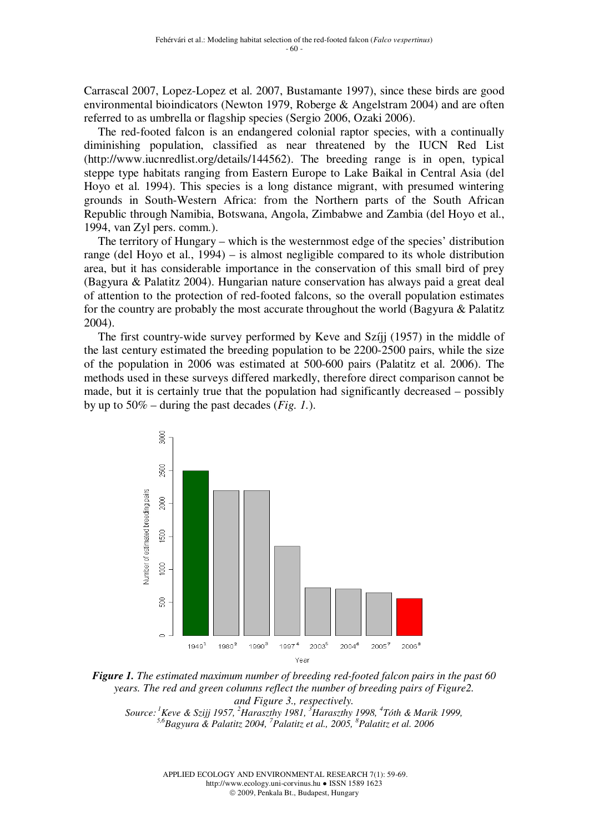Carrascal 2007, Lopez-Lopez et al. 2007, Bustamante 1997), since these birds are good environmental bioindicators (Newton 1979, Roberge & Angelstram 2004) and are often referred to as umbrella or flagship species (Sergio 2006, Ozaki 2006).

The red-footed falcon is an endangered colonial raptor species, with a continually diminishing population, classified as near threatened by the IUCN Red List (http://www.iucnredlist.org/details/144562). The breeding range is in open, typical steppe type habitats ranging from Eastern Europe to Lake Baikal in Central Asia (del Hoyo et al. 1994). This species is a long distance migrant, with presumed wintering grounds in South-Western Africa: from the Northern parts of the South African Republic through Namibia, Botswana, Angola, Zimbabwe and Zambia (del Hoyo et al., 1994, van Zyl pers. comm.).

The territory of Hungary – which is the westernmost edge of the species' distribution range (del Hoyo et al., 1994) – is almost negligible compared to its whole distribution area, but it has considerable importance in the conservation of this small bird of prey (Bagyura & Palatitz 2004). Hungarian nature conservation has always paid a great deal of attention to the protection of red-footed falcons, so the overall population estimates for the country are probably the most accurate throughout the world (Bagyura & Palatitz 2004).

The first country-wide survey performed by Keve and Szíjj (1957) in the middle of the last century estimated the breeding population to be 2200-2500 pairs, while the size of the population in 2006 was estimated at 500-600 pairs (Palatitz et al. 2006). The methods used in these surveys differed markedly, therefore direct comparison cannot be made, but it is certainly true that the population had significantly decreased – possibly by up to 50% – during the past decades (*Fig. 1.*).





*5,6Bagyura & Palatitz 2004, <sup>7</sup>Palatitz et al., 2005, <sup>8</sup>Palatitz et al. 2006* 

APPLIED ECOLOGY AND ENVIRONMENTAL RESEARCH 7(1): 59-69. http://www.ecology.uni-corvinus.hu ● ISSN 1589 1623 2009, Penkala Bt., Budapest, Hungary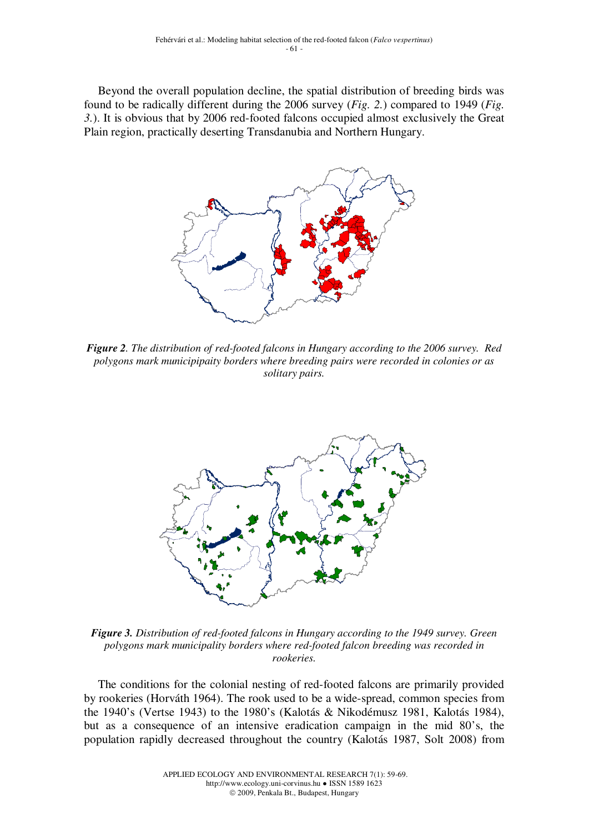Beyond the overall population decline, the spatial distribution of breeding birds was found to be radically different during the 2006 survey (*Fig. 2.*) compared to 1949 (*Fig. 3.*). It is obvious that by 2006 red-footed falcons occupied almost exclusively the Great Plain region, practically deserting Transdanubia and Northern Hungary.



*Figure 2. The distribution of red-footed falcons in Hungary according to the 2006 survey. Red polygons mark municipipaity borders where breeding pairs were recorded in colonies or as solitary pairs.* 



*Figure 3. Distribution of red-footed falcons in Hungary according to the 1949 survey. Green polygons mark municipality borders where red-footed falcon breeding was recorded in rookeries.* 

The conditions for the colonial nesting of red-footed falcons are primarily provided by rookeries (Horváth 1964). The rook used to be a wide-spread, common species from the 1940's (Vertse 1943) to the 1980's (Kalotás & Nikodémusz 1981, Kalotás 1984), but as a consequence of an intensive eradication campaign in the mid 80's, the population rapidly decreased throughout the country (Kalotás 1987, Solt 2008) from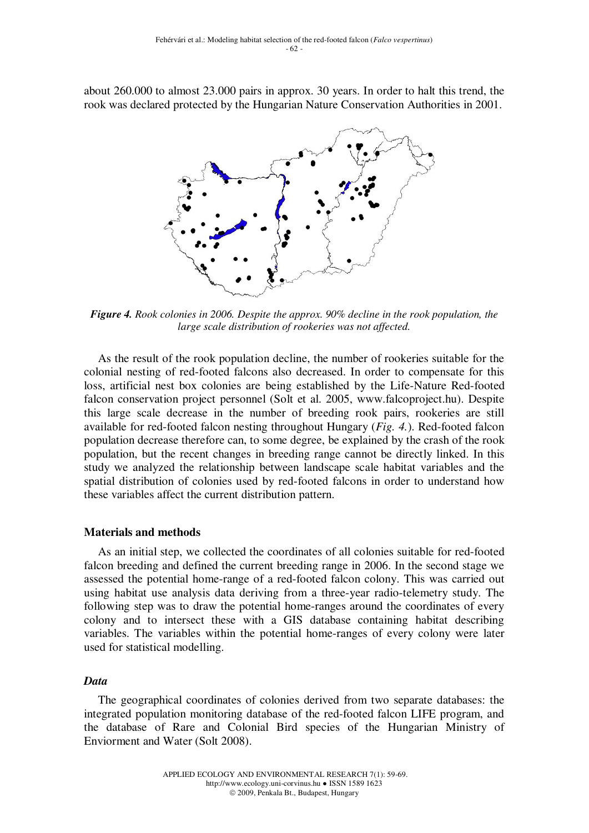about 260.000 to almost 23.000 pairs in approx. 30 years. In order to halt this trend, the rook was declared protected by the Hungarian Nature Conservation Authorities in 2001.



*Figure 4. Rook colonies in 2006. Despite the approx. 90% decline in the rook population, the large scale distribution of rookeries was not affected.* 

As the result of the rook population decline, the number of rookeries suitable for the colonial nesting of red-footed falcons also decreased. In order to compensate for this loss, artificial nest box colonies are being established by the Life-Nature Red-footed falcon conservation project personnel (Solt et al. 2005, www.falcoproject.hu). Despite this large scale decrease in the number of breeding rook pairs, rookeries are still available for red-footed falcon nesting throughout Hungary (*Fig. 4.*). Red-footed falcon population decrease therefore can, to some degree, be explained by the crash of the rook population, but the recent changes in breeding range cannot be directly linked. In this study we analyzed the relationship between landscape scale habitat variables and the spatial distribution of colonies used by red-footed falcons in order to understand how these variables affect the current distribution pattern.

### **Materials and methods**

As an initial step, we collected the coordinates of all colonies suitable for red-footed falcon breeding and defined the current breeding range in 2006. In the second stage we assessed the potential home-range of a red-footed falcon colony. This was carried out using habitat use analysis data deriving from a three-year radio-telemetry study. The following step was to draw the potential home-ranges around the coordinates of every colony and to intersect these with a GIS database containing habitat describing variables. The variables within the potential home-ranges of every colony were later used for statistical modelling.

### *Data*

The geographical coordinates of colonies derived from two separate databases: the integrated population monitoring database of the red-footed falcon LIFE program, and the database of Rare and Colonial Bird species of the Hungarian Ministry of Enviorment and Water (Solt 2008).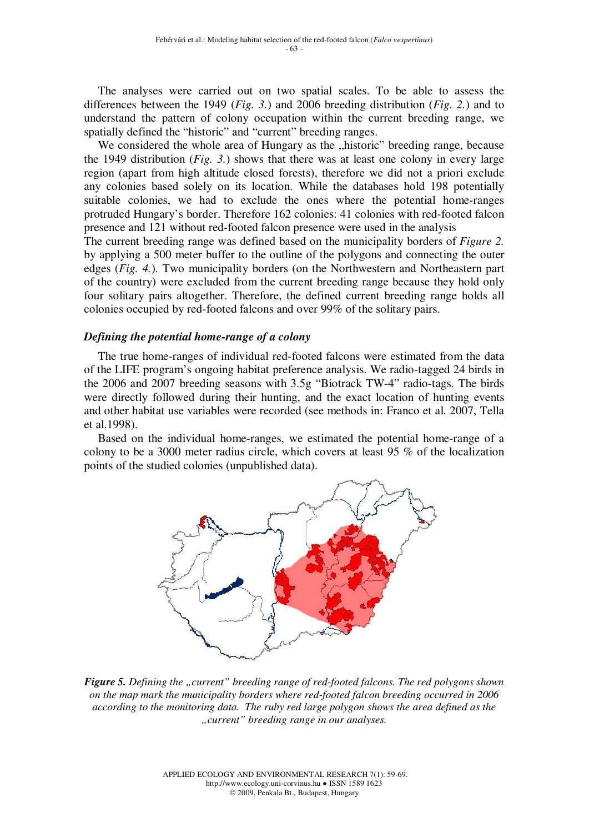The analyses were carried out on two spatial scales. To be able to assess the differences between the 1949 (*Fig. 3.*) and 2006 breeding distribution (*Fig. 2.*) and to understand the pattern of colony occupation within the current breeding range, we spatially defined the "historic" and "current" breeding ranges.

We considered the whole area of Hungary as the "historic" breeding range, because the 1949 distribution (*Fig. 3.*) shows that there was at least one colony in every large region (apart from high altitude closed forests), therefore we did not a priori exclude any colonies based solely on its location. While the databases hold 198 potentially suitable colonies, we had to exclude the ones where the potential home-ranges protruded Hungary's border. Therefore 162 colonies: 41 colonies with red-footed falcon presence and 121 without red-footed falcon presence were used in the analysis

The current breeding range was defined based on the municipality borders of *Figure 2.* by applying a 500 meter buffer to the outline of the polygons and connecting the outer edges (*Fig. 4.*)*.* Two municipality borders (on the Northwestern and Northeastern part of the country) were excluded from the current breeding range because they hold only four solitary pairs altogether. Therefore, the defined current breeding range holds all colonies occupied by red-footed falcons and over 99% of the solitary pairs.

## *Defining the potential home-range of a colony*

The true home-ranges of individual red-footed falcons were estimated from the data of the LIFE program's ongoing habitat preference analysis. We radio-tagged 24 birds in the 2006 and 2007 breeding seasons with 3.5g "Biotrack TW-4" radio-tags. The birds were directly followed during their hunting, and the exact location of hunting events and other habitat use variables were recorded (see methods in: Franco et al. 2007, Tella et al.1998).

Based on the individual home-ranges, we estimated the potential home-range of a colony to be a 3000 meter radius circle, which covers at least 95 % of the localization points of the studied colonies (unpublished data).



*Figure 5. Defining the "current" breeding range of red-footed falcons. The red polygons shown on the map mark the municipality borders where red-footed falcon breeding occurred in 2006 according to the monitoring data. The ruby red large polygon shows the area defined as the "current" breeding range in our analyses.*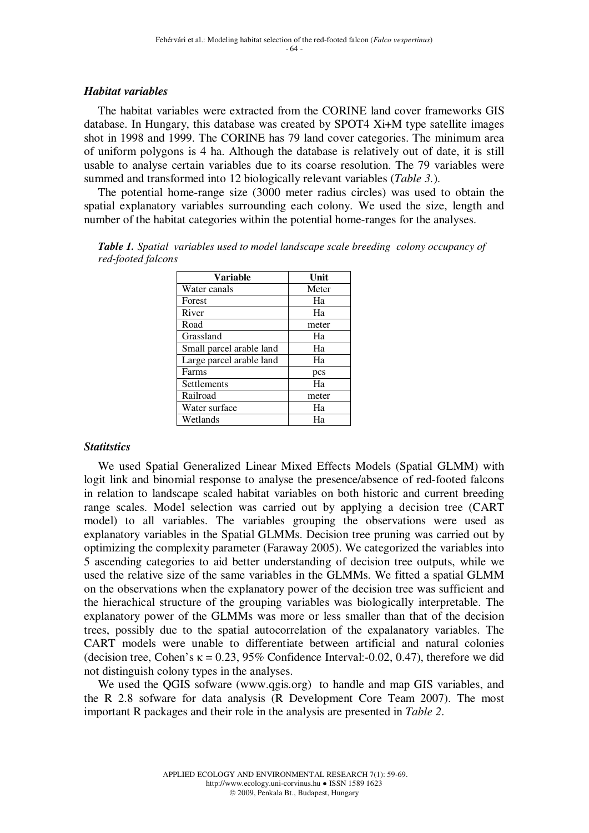## *Habitat variables*

The habitat variables were extracted from the CORINE land cover frameworks GIS database. In Hungary, this database was created by SPOT4 Xi+M type satellite images shot in 1998 and 1999. The CORINE has 79 land cover categories. The minimum area of uniform polygons is 4 ha. Although the database is relatively out of date, it is still usable to analyse certain variables due to its coarse resolution. The 79 variables were summed and transformed into 12 biologically relevant variables (*Table 3.*).

The potential home-range size (3000 meter radius circles) was used to obtain the spatial explanatory variables surrounding each colony. We used the size, length and number of the habitat categories within the potential home-ranges for the analyses.

| Variable                 | Unit           |
|--------------------------|----------------|
| Water canals             | Meter          |
| Forest                   | Ha             |
| River                    | H <sub>a</sub> |
| Road                     | meter          |
| Grassland                | Ha             |
| Small parcel arable land | Ha             |
| Large parcel arable land | Ha             |
| Farms                    | pcs            |
| Settlements              | Ha             |
| Railroad                 | meter          |
| Water surface            | Ha             |
| Wetlands                 | Hа             |

*Table 1. Spatial variables used to model landscape scale breeding colony occupancy of red-footed falcons* 

## *Statitstics*

We used Spatial Generalized Linear Mixed Effects Models (Spatial GLMM) with logit link and binomial response to analyse the presence/absence of red-footed falcons in relation to landscape scaled habitat variables on both historic and current breeding range scales. Model selection was carried out by applying a decision tree (CART model) to all variables. The variables grouping the observations were used as explanatory variables in the Spatial GLMMs. Decision tree pruning was carried out by optimizing the complexity parameter (Faraway 2005). We categorized the variables into 5 ascending categories to aid better understanding of decision tree outputs, while we used the relative size of the same variables in the GLMMs. We fitted a spatial GLMM on the observations when the explanatory power of the decision tree was sufficient and the hierachical structure of the grouping variables was biologically interpretable. The explanatory power of the GLMMs was more or less smaller than that of the decision trees, possibly due to the spatial autocorrelation of the expalanatory variables. The CART models were unable to differentiate between artificial and natural colonies (decision tree, Cohen's  $\kappa = 0.23$ , 95% Confidence Interval:-0.02, 0.47), therefore we did not distinguish colony types in the analyses.

We used the QGIS sofware (www.qgis.org) to handle and map GIS variables, and the R 2.8 sofware for data analysis (R Development Core Team 2007). The most important R packages and their role in the analysis are presented in *Table 2*.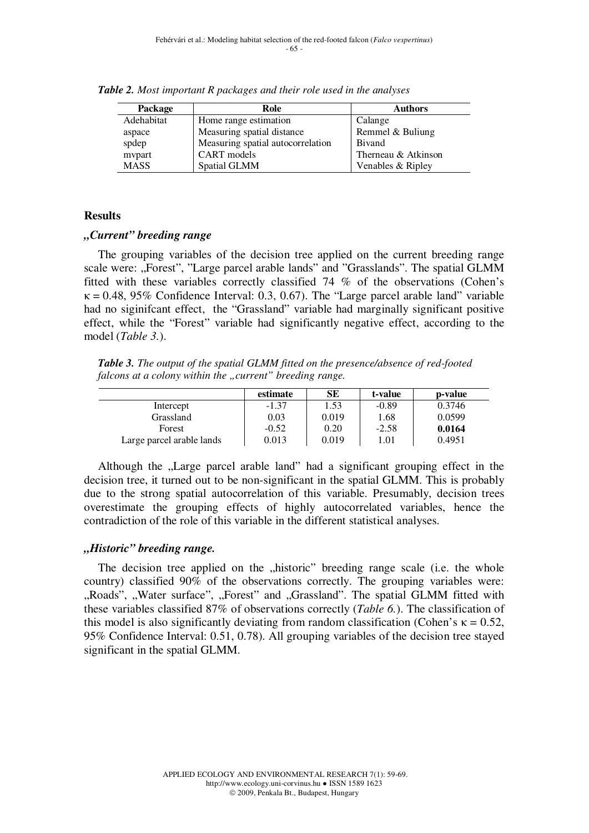| Package     | Role                              | <b>Authors</b>      |
|-------------|-----------------------------------|---------------------|
| Adehabitat  | Home range estimation             | Calange             |
| aspace      | Measuring spatial distance        | Remmel & Buliung    |
| spdep       | Measuring spatial autocorrelation | Bivand              |
| mvpart      | CART models                       | Therneau & Atkinson |
| <b>MASS</b> | Spatial GLMM                      | Venables & Ripley   |

*Table 2. Most important R packages and their role used in the analyses* 

## **Results**

## *"Current" breeding range*

The grouping variables of the decision tree applied on the current breeding range scale were: "Forest", "Large parcel arable lands" and "Grasslands". The spatial GLMM fitted with these variables correctly classified 74 % of the observations (Cohen's  $\kappa = 0.48$ , 95% Confidence Interval: 0.3, 0.67). The "Large parcel arable land" variable had no siginifcant effect, the "Grassland" variable had marginally significant positive effect, while the "Forest" variable had significantly negative effect, according to the model (*Table 3.*).

*Table 3. The output of the spatial GLMM fitted on the presence/absence of red-footed falcons at a colony within the "current" breeding range.* 

|                           | estimate | <b>SE</b> | t-value | p-value |
|---------------------------|----------|-----------|---------|---------|
| Intercept                 | $-1.37$  | 1.53      | $-0.89$ | 0.3746  |
| Grassland                 | 0.03     | 0.019     | 1.68    | 0.0599  |
| Forest                    | $-0.52$  | 0.20      | $-2.58$ | 0.0164  |
| Large parcel arable lands | 0.013    | 0.019     | 1.01    | 0.4951  |

Although the "Large parcel arable land" had a significant grouping effect in the decision tree, it turned out to be non-significant in the spatial GLMM. This is probably due to the strong spatial autocorrelation of this variable. Presumably, decision trees overestimate the grouping effects of highly autocorrelated variables, hence the contradiction of the role of this variable in the different statistical analyses.

## *"Historic" breeding range.*

The decision tree applied on the "historic" breeding range scale (i.e. the whole country) classified 90% of the observations correctly. The grouping variables were: "Roads", "Water surface", "Forest" and "Grassland". The spatial GLMM fitted with these variables classified 87% of observations correctly (*Table 6.*). The classification of this model is also significantly deviating from random classification (Cohen's  $\kappa = 0.52$ , 95% Confidence Interval: 0.51, 0.78). All grouping variables of the decision tree stayed significant in the spatial GLMM.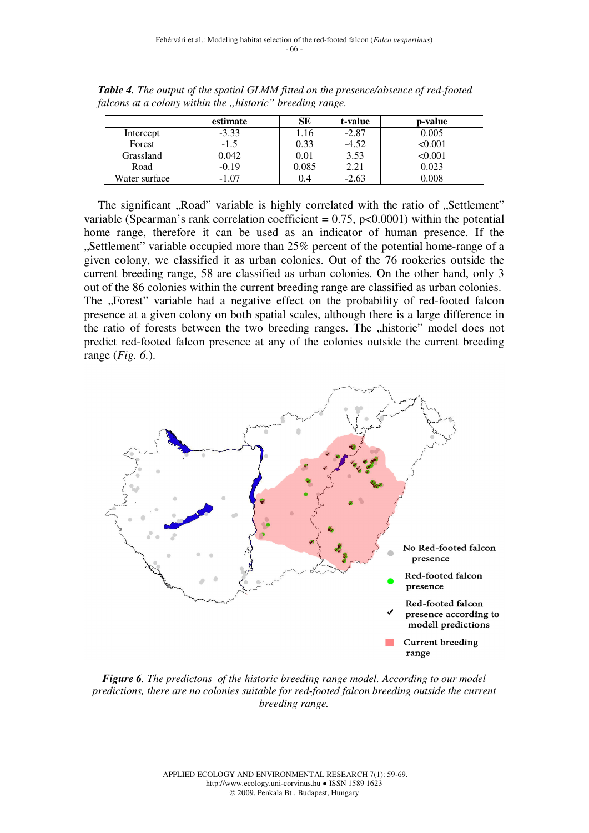|               | estimate | SЕ    | t-value | p-value |
|---------------|----------|-------|---------|---------|
| Intercept     | $-3.33$  | .16   | $-2.87$ | 0.005   |
| Forest        | $-1.5$   | 0.33  | $-4.52$ | < 0.001 |
| Grassland     | 0.042    | 0.01  | 3.53    | < 0.001 |
| Road          | $-0.19$  | 0.085 | 2.21    | 0.023   |
| Water surface | $-1.07$  | 0.4   | $-2.63$ | 0.008   |

*Table 4. The output of the spatial GLMM fitted on the presence/absence of red-footed falcons at a colony within the "historic" breeding range.* 

The significant "Road" variable is highly correlated with the ratio of "Settlement" variable (Spearman's rank correlation coefficient  $= 0.75$ , p $< 0.0001$ ) within the potential home range, therefore it can be used as an indicator of human presence. If the "Settlement" variable occupied more than 25% percent of the potential home-range of a given colony, we classified it as urban colonies. Out of the 76 rookeries outside the current breeding range, 58 are classified as urban colonies. On the other hand, only 3 out of the 86 colonies within the current breeding range are classified as urban colonies. The "Forest" variable had a negative effect on the probability of red-footed falcon presence at a given colony on both spatial scales, although there is a large difference in the ratio of forests between the two breeding ranges. The "historic" model does not predict red-footed falcon presence at any of the colonies outside the current breeding range (*Fig. 6.*).



*Figure 6. The predictons of the historic breeding range model. According to our model predictions, there are no colonies suitable for red-footed falcon breeding outside the current breeding range.*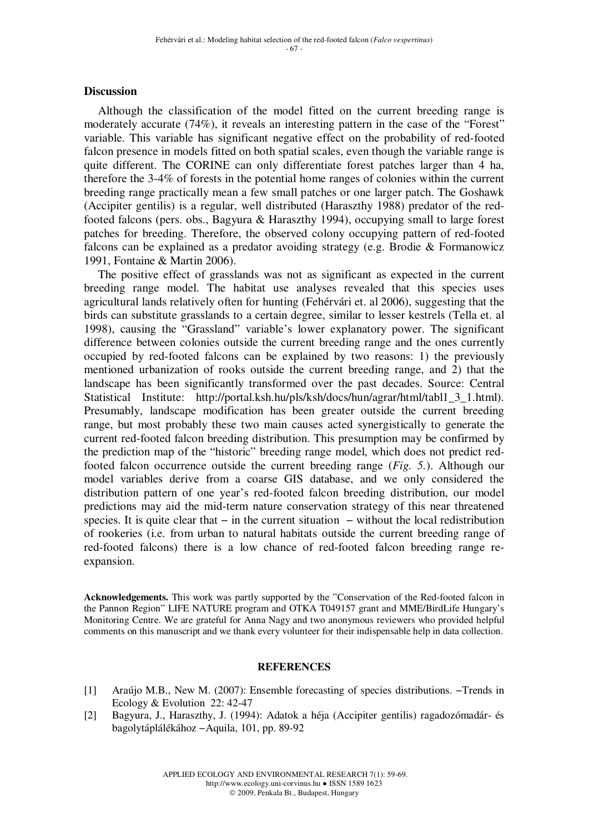### **Discussion**

Although the classification of the model fitted on the current breeding range is moderately accurate (74%), it reveals an interesting pattern in the case of the "Forest" variable. This variable has significant negative effect on the probability of red-footed falcon presence in models fitted on both spatial scales, even though the variable range is quite different. The CORINE can only differentiate forest patches larger than 4 ha, therefore the 3-4% of forests in the potential home ranges of colonies within the current breeding range practically mean a few small patches or one larger patch. The Goshawk (Accipiter gentilis) is a regular, well distributed (Haraszthy 1988) predator of the redfooted falcons (pers. obs., Bagyura & Haraszthy 1994), occupying small to large forest patches for breeding. Therefore, the observed colony occupying pattern of red-footed falcons can be explained as a predator avoiding strategy (e.g. Brodie & Formanowicz 1991, Fontaine & Martin 2006).

The positive effect of grasslands was not as significant as expected in the current breeding range model. The habitat use analyses revealed that this species uses agricultural lands relatively often for hunting (Fehérvári et. al 2006), suggesting that the birds can substitute grasslands to a certain degree, similar to lesser kestrels (Tella et. al 1998), causing the "Grassland" variable's lower explanatory power. The significant difference between colonies outside the current breeding range and the ones currently occupied by red-footed falcons can be explained by two reasons: 1) the previously mentioned urbanization of rooks outside the current breeding range, and 2) that the landscape has been significantly transformed over the past decades. Source: Central Statistical Institute: http://portal.ksh.hu/pls/ksh/docs/hun/agrar/html/tabl1\_3\_1.html). Presumably, landscape modification has been greater outside the current breeding range, but most probably these two main causes acted synergistically to generate the current red-footed falcon breeding distribution. This presumption may be confirmed by the prediction map of the "historic" breeding range model, which does not predict redfooted falcon occurrence outside the current breeding range (*Fig. 5.*). Although our model variables derive from a coarse GIS database, and we only considered the distribution pattern of one year's red-footed falcon breeding distribution, our model predictions may aid the mid-term nature conservation strategy of this near threatened species. It is quite clear that – in the current situation – without the local redistribution of rookeries (i.e. from urban to natural habitats outside the current breeding range of red-footed falcons) there is a low chance of red-footed falcon breeding range reexpansion.

**Acknowledgements.** This work was partly supported by the "Conservation of the Red-footed falcon in the Pannon Region" LIFE NATURE program and OTKA T049157 grant and MME/BirdLife Hungary's Monitoring Centre. We are grateful for Anna Nagy and two anonymous reviewers who provided helpful comments on this manuscript and we thank every volunteer for their indispensable help in data collection.

#### **REFERENCES**

- [1] Araújo M.B., New M. (2007): Ensemble forecasting of species distributions. −Trends in Ecology & Evolution 22: 42-47
- [2] Bagyura, J., Haraszthy, J. (1994): Adatok a héja (Accipiter gentilis) ragadozómadár- és bagolytáplálékához −Aquila, 101, pp. 89-92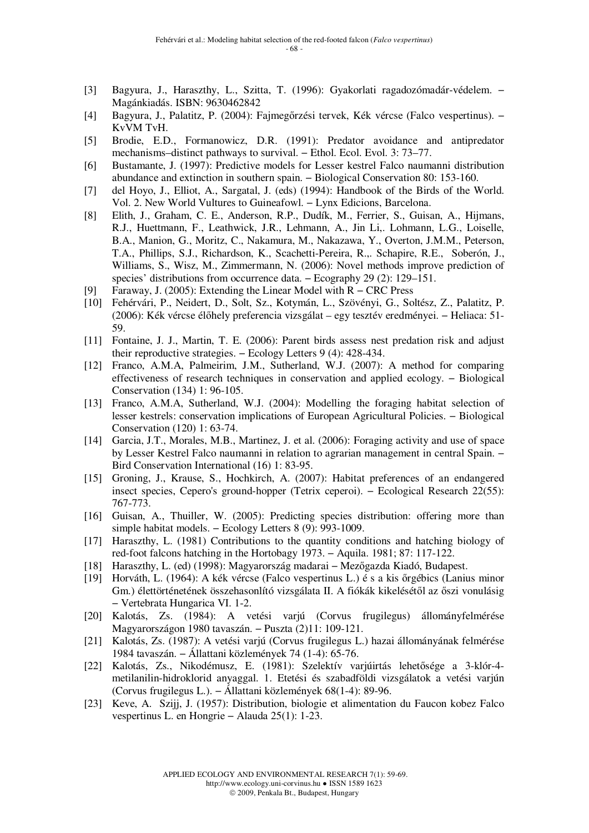- [3] Bagyura, J., Haraszthy, L., Szitta, T. (1996): Gyakorlati ragadozómadár-védelem. − Magánkiadás. ISBN: 9630462842
- [4] Bagyura, J., Palatitz, P. (2004): Fajmegőrzési tervek, Kék vércse (Falco vespertinus). − KvVM TvH.
- [5] Brodie, E.D., Formanowicz, D.R. (1991): Predator avoidance and antipredator mechanisms–distinct pathways to survival. − Ethol. Ecol. Evol. 3: 73–77.
- [6] Bustamante, J. (1997): Predictive models for Lesser kestrel Falco naumanni distribution abundance and extinction in southern spain. − Biological Conservation 80: 153-160.
- [7] del Hoyo, J., Elliot, A., Sargatal, J. (eds) (1994): Handbook of the Birds of the World. Vol. 2. New World Vultures to Guineafowl. − Lynx Edicions, Barcelona.
- [8] Elith, J., Graham, C. E., Anderson, R.P., Dudík, M., Ferrier, S., Guisan, A., Hijmans, R.J., Huettmann, F., Leathwick, J.R., Lehmann, A., Jin Li,. Lohmann, L.G., Loiselle, B.A., Manion, G., Moritz, C., Nakamura, M., Nakazawa, Y., Overton, J.M.M., Peterson, T.A., Phillips, S.J., Richardson, K., Scachetti-Pereira, R.,. Schapire, R.E., Soberón, J., Williams, S., Wisz, M., Zimmermann, N. (2006): Novel methods improve prediction of species' distributions from occurrence data. – Ecography 29 (2): 129–151.
- [9] Faraway, J. (2005): Extending the Linear Model with R − CRC Press
- [10] Fehérvári, P., Neidert, D., Solt, Sz., Kotymán, L., Szövényi, G., Soltész, Z., Palatitz, P. (2006): Kék vércse élőhely preferencia vizsgálat – egy tesztév eredményei. − Heliaca: 51- 59.
- [11] Fontaine, J. J., Martin, T. E. (2006): Parent birds assess nest predation risk and adjust their reproductive strategies. − Ecology Letters 9 (4): 428-434.
- [12] Franco, A.M.A, Palmeirim, J.M., Sutherland, W.J. (2007): A method for comparing effectiveness of research techniques in conservation and applied ecology. − Biological Conservation (134) 1: 96-105.
- [13] Franco, A.M.A, Sutherland, W.J. (2004): Modelling the foraging habitat selection of lesser kestrels: conservation implications of European Agricultural Policies. − Biological Conservation (120) 1: 63-74.
- [14] Garcia, J.T., Morales, M.B., Martinez, J. et al. (2006): Foraging activity and use of space by Lesser Kestrel Falco naumanni in relation to agrarian management in central Spain. − Bird Conservation International (16) 1: 83-95.
- [15] Groning, J., Krause, S., Hochkirch, A. (2007): Habitat preferences of an endangered insect species, Cepero's ground-hopper (Tetrix ceperoi). − Ecological Research 22(55): 767-773.
- [16] Guisan, A., Thuiller, W. (2005): Predicting species distribution: offering more than simple habitat models. – Ecology Letters 8 (9): 993-1009.
- [17] Haraszthy, L. (1981) Contributions to the quantity conditions and hatching biology of red-foot falcons hatching in the Hortobagy 1973. − Aquila. 1981; 87: 117-122.
- [18] Haraszthy, L. (ed) (1998): Magyarország madarai − Mezőgazda Kiadó, Budapest.
- [19] Horváth, L. (1964): A kék vércse (Falco vespertinus L.) é s a kis őrgébics (Lanius minor Gm.) élettörténetének összehasonlító vizsgálata II. A fiókák kikelésétől az őszi vonulásig − Vertebrata Hungarica VI. 1-2.
- [20] Kalotás, Zs. (1984): A vetési varjú (Corvus frugilegus) állományfelmérése Magyarországon 1980 tavaszán. − Puszta (2)11: 109-121.
- [21] Kalotás, Zs. (1987): A vetési varjú (Corvus frugilegus L.) hazai állományának felmérése 1984 tavaszán. − Állattani közlemények 74 (1-4): 65-76.
- [22] Kalotás, Zs., Nikodémusz, E. (1981): Szelektív varjúirtás lehetősége a 3-klór-4 metilanilin-hidroklorid anyaggal. 1. Etetési és szabadföldi vizsgálatok a vetési varjún (Corvus frugilegus L.). − Állattani közlemények 68(1-4): 89-96.
- [23] Keve, A. Szijj, J. (1957): Distribution, biologie et alimentation du Faucon kobez Falco vespertinus L. en Hongrie − Alauda 25(1): 1-23.